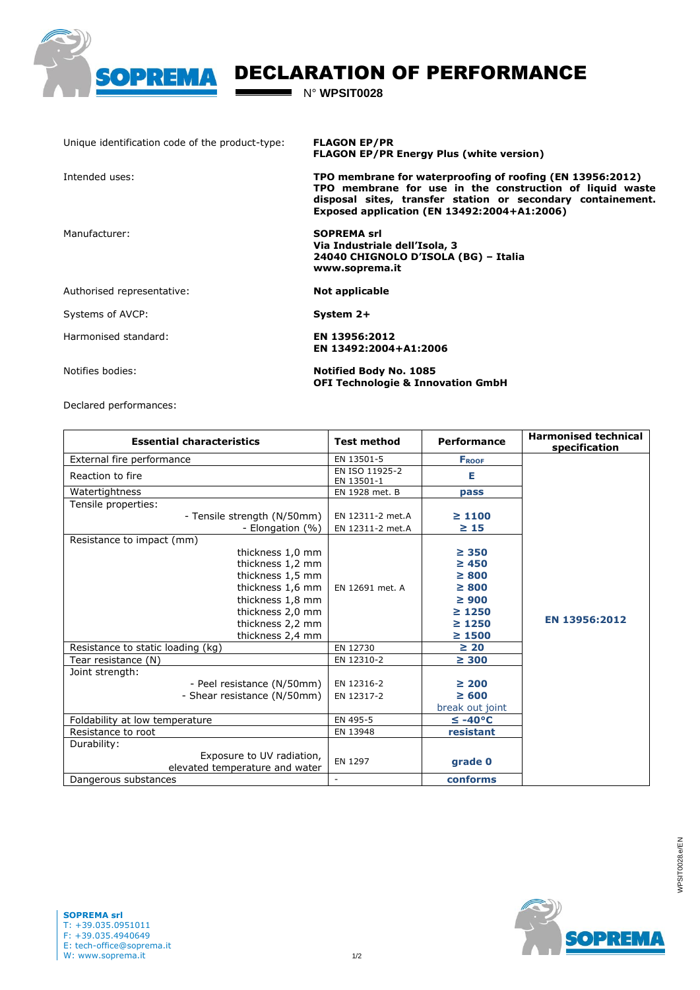

## DECLARATION OF PERFORMANCE

N° **WPSIT0028**

 $\blacksquare$ 

| Unique identification code of the product-type: | <b>FLAGON EP/PR</b><br><b>FLAGON EP/PR Energy Plus (white version)</b>                                                                                                                                                              |  |  |  |
|-------------------------------------------------|-------------------------------------------------------------------------------------------------------------------------------------------------------------------------------------------------------------------------------------|--|--|--|
| Intended uses:                                  | TPO membrane for waterproofing of roofing (EN 13956:2012)<br>TPO membrane for use in the construction of liquid waste<br>disposal sites, transfer station or secondary containement.<br>Exposed application (EN 13492:2004+A1:2006) |  |  |  |
| Manufacturer:                                   | <b>SOPREMA srl</b><br>Via Industriale dell'Isola, 3<br>24040 CHIGNOLO D'ISOLA (BG) – Italia<br>www.soprema.it                                                                                                                       |  |  |  |
| Authorised representative:                      | Not applicable                                                                                                                                                                                                                      |  |  |  |
| Systems of AVCP:                                | System 2+                                                                                                                                                                                                                           |  |  |  |
| Harmonised standard:                            | EN 13956:2012<br>EN 13492:2004+A1:2006                                                                                                                                                                                              |  |  |  |
| Notifies bodies:                                | <b>Notified Body No. 1085</b><br><b>OFI Technologie &amp; Innovation GmbH</b>                                                                                                                                                       |  |  |  |

Declared performances:

| <b>Essential characteristics</b>                            | <b>Test method</b>           | Performance         | <b>Harmonised technical</b><br>specification |
|-------------------------------------------------------------|------------------------------|---------------------|----------------------------------------------|
| External fire performance                                   | EN 13501-5                   | <b>FROOF</b>        |                                              |
| Reaction to fire                                            | EN ISO 11925-2<br>EN 13501-1 | Е                   |                                              |
| Watertightness                                              | EN 1928 met. B               | pass                |                                              |
| Tensile properties:                                         |                              |                     |                                              |
| - Tensile strength (N/50mm)                                 | EN 12311-2 met.A             | $\geq 1100$         |                                              |
| - Elongation (%)                                            | EN 12311-2 met.A             | $\geq 15$           |                                              |
| Resistance to impact (mm)                                   |                              |                     |                                              |
| thickness 1,0 mm                                            |                              | $\geq$ 350          |                                              |
| thickness 1,2 mm                                            |                              | $\geq 450$          |                                              |
| thickness 1,5 mm                                            |                              | $\geq 800$          |                                              |
| thickness 1,6 mm                                            | EN 12691 met. A              | $\geq 800$          |                                              |
| thickness 1,8 mm                                            |                              | $\geq 900$          |                                              |
| thickness 2,0 mm                                            |                              | $\geq 1250$         |                                              |
| thickness 2,2 mm                                            |                              | $\geq 1250$         | EN 13956:2012                                |
| thickness 2,4 mm                                            |                              | $\geq 1500$         |                                              |
| Resistance to static loading (kg)                           | EN 12730                     | $\geq 20$           |                                              |
| Tear resistance (N)                                         | EN 12310-2                   | $\geq 300$          |                                              |
| Joint strength:                                             |                              |                     |                                              |
| - Peel resistance (N/50mm)                                  | EN 12316-2                   | $\geq 200$          |                                              |
| - Shear resistance (N/50mm)                                 | EN 12317-2                   | $\geq 600$          |                                              |
|                                                             |                              | break out joint     |                                              |
| Foldability at low temperature                              | EN 495-5                     | $\leq -40^{\circ}C$ |                                              |
| Resistance to root                                          | EN 13948                     | resistant           |                                              |
| Durability:                                                 |                              |                     |                                              |
| Exposure to UV radiation,<br>elevated temperature and water | EN 1297                      | grade 0             |                                              |
| Dangerous substances                                        |                              | conforms            |                                              |